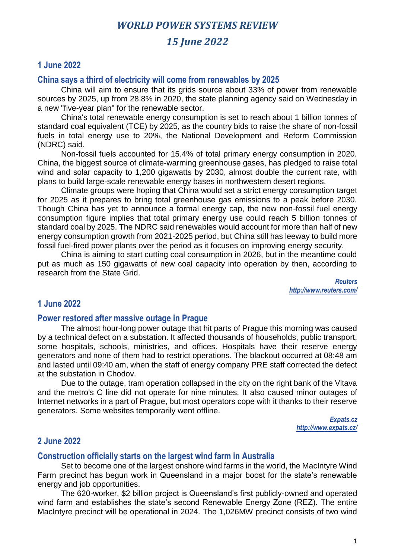# *15 June 2022*

## **1 June 2022**

## **China says a third of electricity will come from renewables by 2025**

China will aim to ensure that its grids source about 33% of power from renewable sources by 2025, up from 28.8% in 2020, the state planning agency said on Wednesday in a new "five-year plan" for the renewable sector.

China's total renewable energy consumption is set to reach about 1 billion tonnes of standard coal equivalent (TCE) by 2025, as the country bids to raise the share of non-fossil fuels in total energy use to 20%, the National Development and Reform Commission (NDRC) said.

Non-fossil fuels accounted for 15.4% of total primary energy consumption in 2020. China, the biggest source of climate-warming greenhouse gases, has pledged to raise total wind and solar capacity to 1,200 gigawatts by 2030, almost double the current rate, with plans to build large-scale renewable energy bases in northwestern desert regions.

Climate groups were hoping that China would set a strict energy consumption target for 2025 as it prepares to bring total greenhouse gas emissions to a peak before 2030. Though China has yet to announce a formal energy cap, the new non-fossil fuel energy consumption figure implies that total primary energy use could reach 5 billion tonnes of standard coal by 2025. The NDRC said renewables would account for more than half of new energy consumption growth from 2021-2025 period, but China still has leeway to build more fossil fuel-fired power plants over the period as it focuses on improving energy security.

China is aiming to start cutting coal consumption in 2026, but in the meantime could put as much as 150 gigawatts of new coal capacity into operation by then, according to research from the State Grid.

> *Reuters http://www.reuters.com/*

## **1 June 2022**

#### **Power restored after massive outage in Prague**

The almost hour-long power outage that hit parts of Prague this morning was caused by a technical defect on a substation. It affected thousands of households, public transport, some hospitals, schools, ministries, and offices. Hospitals have their reserve energy generators and none of them had to restrict operations. The blackout occurred at 08:48 am and lasted until 09:40 am, when the staff of energy company PRE staff corrected the defect at the substation in Chodov.

Due to the outage, tram operation collapsed in the city on the right bank of the Vltava and the metro's C line did not operate for nine minutes. It also caused minor outages of Internet networks in a part of Prague, but most operators cope with it thanks to their reserve generators. Some websites temporarily went offline.

> *Expats.cz http://www.expats.cz/*

## **2 June 2022**

#### **Construction officially starts on the largest wind farm in Australia**

Set to become one of the largest onshore wind farms in the world, the MacIntyre Wind Farm precinct has begun work in Queensland in a major boost for the state's renewable energy and job opportunities.

The 620-worker, \$2 billion project is Queensland's first publicly-owned and operated wind farm and establishes the state's second Renewable Energy Zone (REZ). The entire MacIntyre precinct will be operational in 2024. The 1,026MW precinct consists of two wind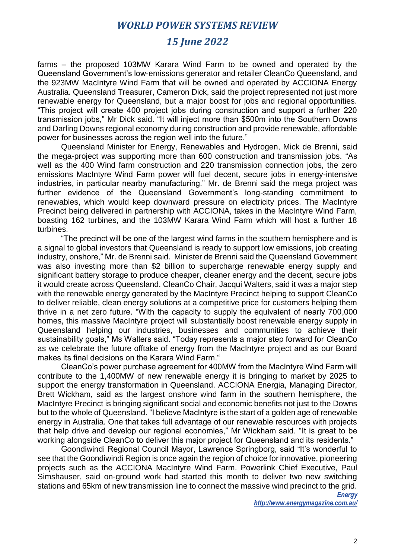# *15 June 2022*

farms – the proposed 103MW Karara Wind Farm to be owned and operated by the Queensland Government's low-emissions generator and retailer CleanCo Queensland, and the 923MW MacIntyre Wind Farm that will be owned and operated by ACCIONA Energy Australia. Queensland Treasurer, Cameron Dick, said the project represented not just more renewable energy for Queensland, but a major boost for jobs and regional opportunities. "This project will create 400 project jobs during construction and support a further 220 transmission jobs," Mr Dick said. "It will inject more than \$500m into the Southern Downs and Darling Downs regional economy during construction and provide renewable, affordable power for businesses across the region well into the future."

Queensland Minister for Energy, Renewables and Hydrogen, Mick de Brenni, said the mega-project was supporting more than 600 construction and transmission jobs. "As well as the 400 Wind farm construction and 220 transmission connection jobs, the zero emissions MacIntyre Wind Farm power will fuel decent, secure jobs in energy-intensive industries, in particular nearby manufacturing." Mr. de Brenni said the mega project was further evidence of the Queensland Government's long-standing commitment to renewables, which would keep downward pressure on electricity prices. The MacIntyre Precinct being delivered in partnership with ACCIONA, takes in the MacIntyre Wind Farm, boasting 162 turbines, and the 103MW Karara Wind Farm which will host a further 18 turbines.

"The precinct will be one of the largest wind farms in the southern hemisphere and is a signal to global investors that Queensland is ready to support low emissions, job creating industry, onshore," Mr. de Brenni said. Minister de Brenni said the Queensland Government was also investing more than \$2 billion to supercharge renewable energy supply and significant battery storage to produce cheaper, cleaner energy and the decent, secure jobs it would create across Queensland. CleanCo Chair, Jacqui Walters, said it was a major step with the renewable energy generated by the MacIntyre Precinct helping to support CleanCo to deliver reliable, clean energy solutions at a competitive price for customers helping them thrive in a net zero future. "With the capacity to supply the equivalent of nearly 700,000 homes, this massive MacIntyre project will substantially boost renewable energy supply in Queensland helping our industries, businesses and communities to achieve their sustainability goals," Ms Walters said. "Today represents a major step forward for CleanCo as we celebrate the future offtake of energy from the MacIntyre project and as our Board makes its final decisions on the Karara Wind Farm."

CleanCo's power purchase agreement for 400MW from the MacIntyre Wind Farm will contribute to the 1,400MW of new renewable energy it is bringing to market by 2025 to support the energy transformation in Queensland. ACCIONA Energia, Managing Director, Brett Wickham, said as the largest onshore wind farm in the southern hemisphere, the MacIntyre Precinct is bringing significant social and economic benefits not just to the Downs but to the whole of Queensland. "I believe MacIntyre is the start of a golden age of renewable energy in Australia. One that takes full advantage of our renewable resources with projects that help drive and develop our regional economies," Mr Wickham said. "It is great to be working alongside CleanCo to deliver this major project for Queensland and its residents."

Goondiwindi Regional Council Mayor, Lawrence Springborg, said "It's wonderful to see that the Goondiwindi Region is once again the region of choice for innovative, pioneering projects such as the ACCIONA MacIntyre Wind Farm. Powerlink Chief Executive, Paul Simshauser, said on-ground work had started this month to deliver two new switching stations and 65km of new transmission line to connect the massive wind precinct to the grid.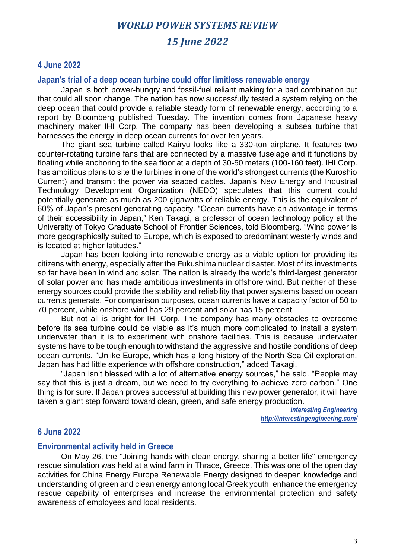# *WORLD POWER SYSTEMS REVIEW 15 June 2022*

## **4 June 2022**

#### **Japan's trial of a deep ocean turbine could offer limitless renewable energy**

Japan is both power-hungry and fossil-fuel reliant making for a bad combination but that could all soon change. The nation has now successfully tested a system relying on the deep ocean that could provide a reliable steady form of renewable energy, according to a report by Bloomberg published Tuesday. The invention comes from Japanese heavy machinery maker IHI Corp. The company has been developing a subsea turbine that harnesses the energy in deep ocean currents for over ten years.

The giant sea turbine called Kairyu looks like a 330-ton airplane. It features two counter-rotating turbine fans that are connected by a massive fuselage and it functions by floating while anchoring to the sea floor at a depth of 30-50 meters (100-160 feet). IHI Corp. has ambitious plans to site the turbines in one of the world's strongest currents (the Kuroshio Current) and transmit the power via seabed cables. Japan's New Energy and Industrial Technology Development Organization (NEDO) speculates that this current could potentially generate as much as 200 gigawatts of reliable energy. This is the equivalent of 60% of Japan's present generating capacity. "Ocean currents have an advantage in terms of their accessibility in Japan," Ken Takagi, a professor of ocean technology policy at the University of Tokyo Graduate School of Frontier Sciences, told Bloomberg. "Wind power is more geographically suited to Europe, which is exposed to predominant westerly winds and is located at higher latitudes."

Japan has been looking into renewable energy as a viable option for providing its citizens with energy, especially after the Fukushima nuclear disaster. Most of its investments so far have been in wind and solar. The nation is already the world's third-largest generator of solar power and has made ambitious investments in offshore wind. But neither of these energy sources could provide the stability and reliability that power systems based on ocean currents generate. For comparison purposes, ocean currents have a capacity factor of 50 to 70 percent, while onshore wind has 29 percent and solar has 15 percent.

But not all is bright for IHI Corp. The company has many obstacles to overcome before its sea turbine could be viable as it's much more complicated to install a system underwater than it is to experiment with onshore facilities. This is because underwater systems have to be tough enough to withstand the aggressive and hostile conditions of deep ocean currents. "Unlike Europe, which has a long history of the North Sea Oil exploration, Japan has had little experience with offshore construction," added Takagi.

"Japan isn't blessed with a lot of alternative energy sources," he said. "People may say that this is just a dream, but we need to try everything to achieve zero carbon." One thing is for sure. If Japan proves successful at building this new power generator, it will have taken a giant step forward toward clean, green, and safe energy production.

> *Interesting Engineering http://interestingengineering.com/*

## **6 June 2022**

#### **Environmental activity held in Greece**

On May 26, the "Joining hands with clean energy, sharing a better life" emergency rescue simulation was held at a wind farm in Thrace, Greece. This was one of the open day activities for China Energy Europe Renewable Energy designed to deepen knowledge and understanding of green and clean energy among local Greek youth, enhance the emergency rescue capability of enterprises and increase the environmental protection and safety awareness of employees and local residents.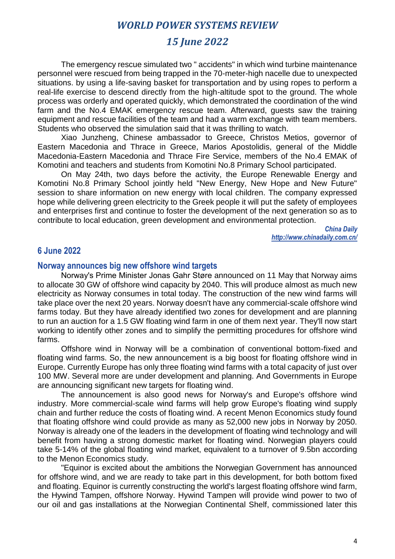# *15 June 2022*

The emergency rescue simulated two " accidents" in which wind turbine maintenance personnel were rescued from being trapped in the 70-meter-high nacelle due to unexpected situations. by using a life-saving basket for transportation and by using ropes to perform a real-life exercise to descend directly from the high-altitude spot to the ground. The whole process was orderly and operated quickly, which demonstrated the coordination of the wind farm and the No.4 EMAK emergency rescue team. Afterward, guests saw the training equipment and rescue facilities of the team and had a warm exchange with team members. Students who observed the simulation said that it was thrilling to watch.

Xiao Junzheng, Chinese ambassador to Greece, Christos Metios, governor of Eastern Macedonia and Thrace in Greece, Marios Apostolidis, general of the Middle Macedonia-Eastern Macedonia and Thrace Fire Service, members of the No.4 EMAK of Komotini and teachers and students from Komotini No.8 Primary School participated.

On May 24th, two days before the activity, the Europe Renewable Energy and Komotini No.8 Primary School jointly held "New Energy, New Hope and New Future" session to share information on new energy with local children. The company expressed hope while delivering green electricity to the Greek people it will put the safety of employees and enterprises first and continue to foster the development of the next generation so as to contribute to local education, green development and environmental protection.

> *China Daily http://www.chinadaily.com.cn/*

## **6 June 2022**

#### **Norway announces big new offshore wind targets**

Norway's Prime Minister Jonas Gahr Støre announced on 11 May that Norway aims to allocate 30 GW of offshore wind capacity by 2040. This will produce almost as much new electricity as Norway consumes in total today. The construction of the new wind farms will take place over the next 20 years. Norway doesn't have any commercial-scale offshore wind farms today. But they have already identified two zones for development and are planning to run an auction for a 1.5 GW floating wind farm in one of them next year. They'll now start working to identify other zones and to simplify the permitting procedures for offshore wind farms.

Offshore wind in Norway will be a combination of conventional bottom-fixed and floating wind farms. So, the new announcement is a big boost for floating offshore wind in Europe. Currently Europe has only three floating wind farms with a total capacity of just over 100 MW. Several more are under development and planning. And Governments in Europe are announcing significant new targets for floating wind.

The announcement is also good news for Norway's and Europe's offshore wind industry. More commercial-scale wind farms will help grow Europe's floating wind supply chain and further reduce the costs of floating wind. A recent Menon Economics study found that floating offshore wind could provide as many as 52,000 new jobs in Norway by 2050. Norway is already one of the leaders in the development of floating wind technology and will benefit from having a strong domestic market for floating wind. Norwegian players could take 5-14% of the global floating wind market, equivalent to a turnover of 9.5bn according to the Menon Economics study.

"Equinor is excited about the ambitions the Norwegian Government has announced for offshore wind, and we are ready to take part in this development, for both bottom fixed and floating. Equinor is currently constructing the world's largest floating offshore wind farm, the Hywind Tampen, offshore Norway. Hywind Tampen will provide wind power to two of our oil and gas installations at the Norwegian Continental Shelf, commissioned later this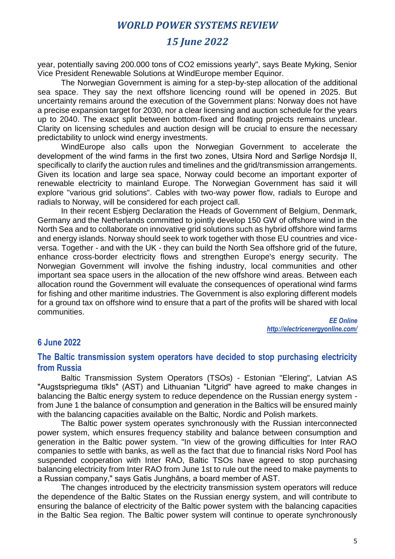# *15 June 2022*

year, potentially saving 200.000 tons of CO2 emissions yearly", says Beate Myking, Senior Vice President Renewable Solutions at WindEurope member Equinor.

The Norwegian Government is aiming for a step-by-step allocation of the additional sea space. They say the next offshore licencing round will be opened in 2025. But uncertainty remains around the execution of the Government plans: Norway does not have a precise expansion target for 2030, nor a clear licensing and auction schedule for the years up to 2040. The exact split between bottom-fixed and floating projects remains unclear. Clarity on licensing schedules and auction design will be crucial to ensure the necessary predictability to unlock wind energy investments.

WindEurope also calls upon the Norwegian Government to accelerate the development of the wind farms in the first two zones, Utsira Nord and Sørlige Nordsjø II, specifically to clarify the auction rules and timelines and the grid/transmission arrangements. Given its location and large sea space, Norway could become an important exporter of renewable electricity to mainland Europe. The Norwegian Government has said it will explore "various grid solutions". Cables with two-way power flow, radials to Europe and radials to Norway, will be considered for each project call.

In their recent Esbjerg Declaration the Heads of Government of Belgium, Denmark, Germany and the Netherlands committed to jointly develop 150 GW of offshore wind in the North Sea and to collaborate on innovative grid solutions such as hybrid offshore wind farms and energy islands. Norway should seek to work together with those EU countries and viceversa. Together - and with the UK - they can build the North Sea offshore grid of the future, enhance cross-border electricity flows and strengthen Europe's energy security. The Norwegian Government will involve the fishing industry, local communities and other important sea space users in the allocation of the new offshore wind areas. Between each allocation round the Government will evaluate the consequences of operational wind farms for fishing and other maritime industries. The Government is also exploring different models for a ground tax on offshore wind to ensure that a part of the profits will be shared with local communities.

> *EE Online http://electricenergyonline.com/*

# **6 June 2022**

## **The Baltic transmission system operators have decided to stop purchasing electricity from Russia**

Baltic Transmission System Operators (TSOs) - Estonian "Elering", Latvian AS "Augstsprieguma tīkls" (AST) and Lithuanian "Litgrid" have agreed to make changes in balancing the Baltic energy system to reduce dependence on the Russian energy system from June 1 the balance of consumption and generation in the Baltics will be ensured mainly with the balancing capacities available on the Baltic, Nordic and Polish markets.

The Baltic power system operates synchronously with the Russian interconnected power system, which ensures frequency stability and balance between consumption and generation in the Baltic power system. "In view of the growing difficulties for Inter RAO companies to settle with banks, as well as the fact that due to financial risks Nord Pool has suspended cooperation with Inter RAO, Baltic TSOs have agreed to stop purchasing balancing electricity from Inter RAO from June 1st to rule out the need to make payments to a Russian company," says Gatis Junghāns, a board member of AST.

The changes introduced by the electricity transmission system operators will reduce the dependence of the Baltic States on the Russian energy system, and will contribute to ensuring the balance of electricity of the Baltic power system with the balancing capacities in the Baltic Sea region. The Baltic power system will continue to operate synchronously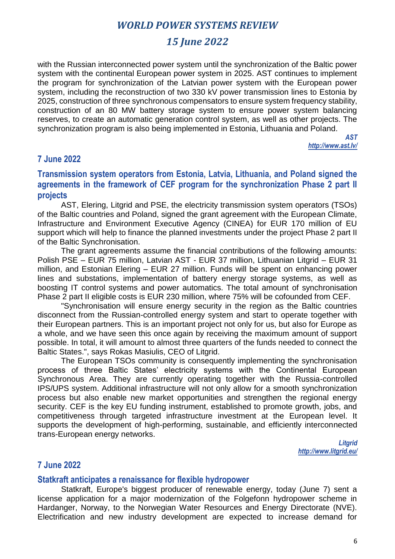# *15 June 2022*

with the Russian interconnected power system until the synchronization of the Baltic power system with the continental European power system in 2025. AST continues to implement the program for synchronization of the Latvian power system with the European power system, including the reconstruction of two 330 kV power transmission lines to Estonia by 2025, construction of three synchronous compensators to ensure system frequency stability, construction of an 80 MW battery storage system to ensure power system balancing reserves, to create an automatic generation control system, as well as other projects. The synchronization program is also being implemented in Estonia, Lithuania and Poland.

> *AST http://www.ast.lv/*

## **7 June 2022**

## **Transmission system operators from Estonia, Latvia, Lithuania, and Poland signed the agreements in the framework of CEF program for the synchronization Phase 2 part II projects**

AST, Elering, Litgrid and PSE, the electricity transmission system operators (TSOs) of the Baltic countries and Poland, signed the grant agreement with the European Climate, Infrastructure and Environment Executive Agency (CINEA) for EUR 170 million of EU support which will help to finance the planned investments under the project Phase 2 part II of the Baltic Synchronisation.

The grant agreements assume the financial contributions of the following amounts: Polish PSE – EUR 75 million, Latvian AST - EUR 37 million, Lithuanian Litgrid – EUR 31 million, and Estonian Elering – EUR 27 million. Funds will be spent on enhancing power lines and substations, implementation of battery energy storage systems, as well as boosting IT control systems and power automatics. The total amount of synchronisation Phase 2 part II eligible costs is EUR 230 million, where 75% will be cofounded from CEF.

"Synchronisation will ensure energy security in the region as the Baltic countries disconnect from the Russian-controlled energy system and start to operate together with their European partners. This is an important project not only for us, but also for Europe as a whole, and we have seen this once again by receiving the maximum amount of support possible. In total, it will amount to almost three quarters of the funds needed to connect the Baltic States.", says Rokas Masiulis, CEO of Litgrid.

The European TSOs community is consequently implementing the synchronisation process of three Baltic States' electricity systems with the Continental European Synchronous Area. They are currently operating together with the Russia-controlled IPS/UPS system. Additional infrastructure will not only allow for a smooth synchronization process but also enable new market opportunities and strengthen the regional energy security. CEF is the key EU funding instrument, established to promote growth, jobs, and competitiveness through targeted infrastructure investment at the European level. It supports the development of high-performing, sustainable, and efficiently interconnected trans-European energy networks.

> *Litgrid http://www.litgrid.eu/*

## **7 June 2022**

#### **Statkraft anticipates a renaissance for flexible hydropower**

Statkraft, Europe's biggest producer of renewable energy, today (June 7) sent a license application for a major modernization of the Folgefonn hydropower scheme in Hardanger, Norway, to the Norwegian Water Resources and Energy Directorate (NVE). Electrification and new industry development are expected to increase demand for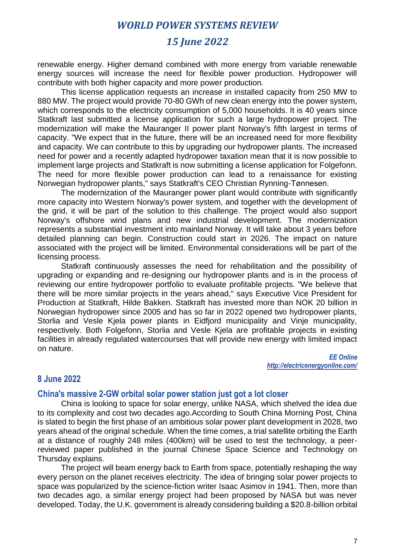# *15 June 2022*

renewable energy. Higher demand combined with more energy from variable renewable energy sources will increase the need for flexible power production. Hydropower will contribute with both higher capacity and more power production.

This license application requests an increase in installed capacity from 250 MW to 880 MW. The project would provide 70-80 GWh of new clean energy into the power system, which corresponds to the electricity consumption of 5,000 households. It is 40 years since Statkraft last submitted a license application for such a large hydropower project. The modernization will make the Mauranger II power plant Norway's fifth largest in terms of capacity. "We expect that in the future, there will be an increased need for more flexibility and capacity. We can contribute to this by upgrading our hydropower plants. The increased need for power and a recently adapted hydropower taxation mean that it is now possible to implement large projects and Statkraft is now submitting a license application for Folgefonn. The need for more flexible power production can lead to a renaissance for existing Norwegian hydropower plants," says Statkraft's CEO Christian Rynning-Tønnesen.

The modernization of the Mauranger power plant would contribute with significantly more capacity into Western Norway's power system, and together with the development of the grid, it will be part of the solution to this challenge. The project would also support Norway's offshore wind plans and new industrial development. The modernization represents a substantial investment into mainland Norway. It will take about 3 years before detailed planning can begin. Construction could start in 2026. The impact on nature associated with the project will be limited. Environmental considerations will be part of the licensing process.

Statkraft continuously assesses the need for rehabilitation and the possibility of upgrading or expanding and re-designing our hydropower plants and is in the process of reviewing our entire hydropower portfolio to evaluate profitable projects. "We believe that there will be more similar projects in the years ahead," says Executive Vice President for Production at Statkraft, Hilde Bakken. Statkraft has invested more than NOK 20 billion in Norwegian hydropower since 2005 and has so far in 2022 opened two hydropower plants, Storlia and Vesle Kjela power plants in Eidfjord municipality and Vinje municipality, respectively. Both Folgefonn, Storlia and Vesle Kjela are profitable projects in existing facilities in already regulated watercourses that will provide new energy with limited impact on nature.

> *EE Online http://electricenergyonline.com/*

#### **8 June 2022**

#### **China's massive 2-GW orbital solar power station just got a lot closer**

China is looking to space for solar energy, unlike NASA, which shelved the idea due to its complexity and cost two decades ago.According to South China Morning Post, China is slated to begin the first phase of an ambitious solar power plant development in 2028, two years ahead of the original schedule. When the time comes, a trial satellite orbiting the Earth at a distance of roughly 248 miles (400km) will be used to test the technology, a peerreviewed paper published in the journal Chinese Space Science and Technology on Thursday explains.

The project will beam energy back to Earth from space, potentially reshaping the way every person on the planet receives electricity. The idea of bringing solar power projects to space was popularized by the science-fiction writer Isaac Asimov in 1941. Then, more than two decades ago, a similar energy project had been proposed by NASA but was never developed. Today, the U.K. government is already considering building a \$20.8-billion orbital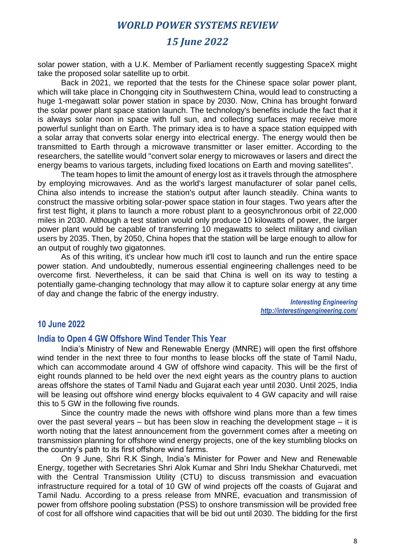# *15 June 2022*

solar power station, with a U.K. Member of Parliament recently suggesting SpaceX might take the proposed solar satellite up to orbit.

Back in 2021, we reported that the tests for the Chinese space solar power plant, which will take place in Chongqing city in Southwestern China, would lead to constructing a huge 1-megawatt solar power station in space by 2030. Now, China has brought forward the solar power plant space station launch. The technology's benefits include the fact that it is always solar noon in space with full sun, and collecting surfaces may receive more powerful sunlight than on Earth. The primary idea is to have a space station equipped with a solar array that converts solar energy into electrical energy. The energy would then be transmitted to Earth through a microwave transmitter or laser emitter. According to the researchers, the satellite would "convert solar energy to microwaves or lasers and direct the energy beams to various targets, including fixed locations on Earth and moving satellites".

The team hopes to limit the amount of energy lost as it travels through the atmosphere by employing microwaves. And as the world's largest manufacturer of solar panel cells, China also intends to increase the station's output after launch steadily. China wants to construct the massive orbiting solar-power space station in four stages. Two years after the first test flight, it plans to launch a more robust plant to a geosynchronous orbit of 22,000 miles in 2030. Although a test station would only produce 10 kilowatts of power, the larger power plant would be capable of transferring 10 megawatts to select military and civilian users by 2035. Then, by 2050, China hopes that the station will be large enough to allow for an output of roughly two gigatonnes.

As of this writing, it's unclear how much it'll cost to launch and run the entire space power station. And undoubtedly, numerous essential engineering challenges need to be overcome first. Nevertheless, it can be said that China is well on its way to testing a potentially game-changing technology that may allow it to capture solar energy at any time of day and change the fabric of the energy industry.

> *Interesting Engineering http://interestingengineering.com/*

#### **10 June 2022**

#### **India to Open 4 GW Offshore Wind Tender This Year**

India's Ministry of New and Renewable Energy (MNRE) will open the first offshore wind tender in the next three to four months to lease blocks off the state of Tamil Nadu, which can accommodate around 4 GW of offshore wind capacity. This will be the first of eight rounds planned to be held over the next eight years as the country plans to auction areas offshore the states of Tamil Nadu and Gujarat each year until 2030. Until 2025, India will be leasing out offshore wind energy blocks equivalent to 4 GW capacity and will raise this to 5 GW in the following five rounds.

Since the country made the news with offshore wind plans more than a few times over the past several years – but has been slow in reaching the development stage – it is worth noting that the latest announcement from the government comes after a meeting on transmission planning for offshore wind energy projects, one of the key stumbling blocks on the country's path to its first offshore wind farms.

On 9 June, Shri R.K Singh, India's Minister for Power and New and Renewable Energy, together with Secretaries Shri Alok Kumar and Shri Indu Shekhar Chaturvedi, met with the Central Transmission Utility (CTU) to discuss transmission and evacuation infrastructure required for a total of 10 GW of wind projects off the coasts of Gujarat and Tamil Nadu. According to a press release from MNRE, evacuation and transmission of power from offshore pooling substation (PSS) to onshore transmission will be provided free of cost for all offshore wind capacities that will be bid out until 2030. The bidding for the first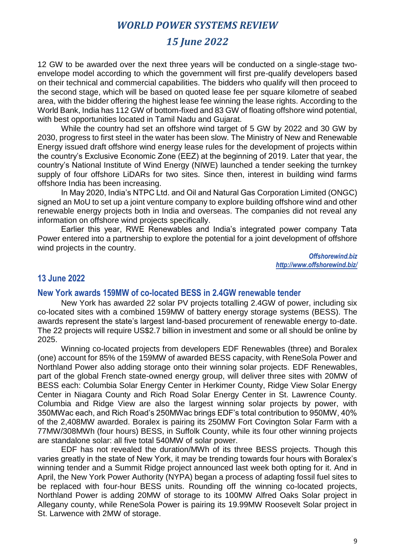# *15 June 2022*

12 GW to be awarded over the next three years will be conducted on a single-stage twoenvelope model according to which the government will first pre-qualify developers based on their technical and commercial capabilities. The bidders who qualify will then proceed to the second stage, which will be based on quoted lease fee per square kilometre of seabed area, with the bidder offering the highest lease fee winning the lease rights. According to the World Bank, India has 112 GW of bottom-fixed and 83 GW of floating offshore wind potential, with best opportunities located in Tamil Nadu and Gujarat.

While the country had set an offshore wind target of 5 GW by 2022 and 30 GW by 2030, progress to first steel in the water has been slow. The Ministry of New and Renewable Energy issued draft offshore wind energy lease rules for the development of projects within the country's Exclusive Economic Zone (EEZ) at the beginning of 2019. Later that year, the country's National Institute of Wind Energy (NIWE) launched a tender seeking the turnkey supply of four offshore LiDARs for two sites. Since then, interest in building wind farms offshore India has been increasing.

In May 2020, India's NTPC Ltd. and Oil and Natural Gas Corporation Limited (ONGC) signed an MoU to set up a joint venture company to explore building offshore wind and other renewable energy projects both in India and overseas. The companies did not reveal any information on offshore wind projects specifically.

Earlier this year, RWE Renewables and India's integrated power company Tata Power entered into a partnership to explore the potential for a joint development of offshore wind projects in the country.

> *Offshorewind.biz http://www.offshorewind.biz/*

#### **13 June 2022**

#### **New York awards 159MW of co-located BESS in 2.4GW renewable tender**

New York has awarded 22 solar PV projects totalling 2.4GW of power, including six co-located sites with a combined 159MW of battery energy storage systems (BESS). The awards represent the state's largest land-based procurement of renewable energy to-date. The 22 projects will require US\$2.7 billion in investment and some or all should be online by 2025.

Winning co-located projects from developers EDF Renewables (three) and Boralex (one) account for 85% of the 159MW of awarded BESS capacity, with ReneSola Power and Northland Power also adding storage onto their winning solar projects. EDF Renewables, part of the global French state-owned energy group, will deliver three sites with 20MW of BESS each: Columbia Solar Energy Center in Herkimer County, Ridge View Solar Energy Center in Niagara County and Rich Road Solar Energy Center in St. Lawrence County. Columbia and Ridge View are also the largest winning solar projects by power, with 350MWac each, and Rich Road's 250MWac brings EDF's total contribution to 950MW, 40% of the 2,408MW awarded. Boralex is pairing its 250MW Fort Covington Solar Farm with a 77MW/308MWh (four hours) BESS, in Suffolk County, while its four other winning projects are standalone solar: all five total 540MW of solar power.

EDF has not revealed the duration/MWh of its three BESS projects. Though this varies greatly in the state of New York, it may be trending towards four hours with Boralex's winning tender and a Summit Ridge project announced last week both opting for it. And in April, the New York Power Authority (NYPA) began a process of adapting fossil fuel sites to be replaced with four-hour BESS units. Rounding off the winning co-located projects, Northland Power is adding 20MW of storage to its 100MW Alfred Oaks Solar project in Allegany county, while ReneSola Power is pairing its 19.99MW Roosevelt Solar project in St. Larwence with 2MW of storage.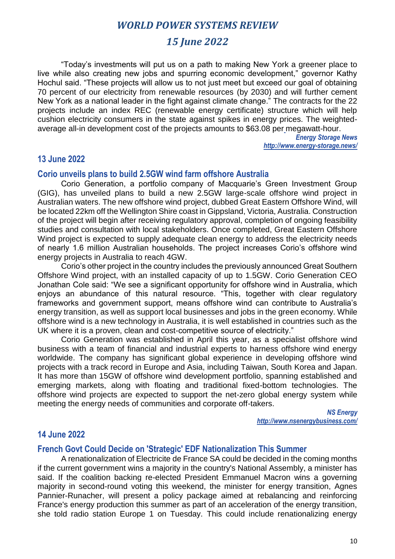# *15 June 2022*

"Today's investments will put us on a path to making New York a greener place to live while also creating new jobs and spurring economic development," governor Kathy Hochul said. "These projects will allow us to not just meet but exceed our goal of obtaining 70 percent of our electricity from renewable resources (by 2030) and will further cement New York as a national leader in the fight against climate change." The contracts for the 22 projects include an index REC (renewable energy certificate) structure which will help cushion electricity consumers in the state against spikes in energy prices. The weightedaverage all-in development cost of the projects amounts to \$63.08 per megawatt-hour.

> *Energy Storage News http://www.energy-storage.news/*

## **13 June 2022**

#### **Corio unveils plans to build 2.5GW wind farm offshore Australia**

Corio Generation, a portfolio company of Macquarie's Green Investment Group (GIG), has unveiled plans to build a new 2.5GW large-scale offshore wind project in Australian waters. The new offshore wind project, dubbed Great Eastern Offshore Wind, will be located 22km off the Wellington Shire coast in Gippsland, Victoria, Australia. Construction of the project will begin after receiving regulatory approval, completion of ongoing feasibility studies and consultation with local stakeholders. Once completed, Great Eastern Offshore Wind project is expected to supply adequate clean energy to address the electricity needs of nearly 1.6 million Australian households. The project increases Corio's offshore wind energy projects in Australia to reach 4GW.

Corio's other project in the country includes the previously announced Great Southern Offshore Wind project, with an installed capacity of up to 1.5GW. Corio Generation CEO Jonathan Cole said: "We see a significant opportunity for offshore wind in Australia, which enjoys an abundance of this natural resource. "This, together with clear regulatory frameworks and government support, means offshore wind can contribute to Australia's energy transition, as well as support local businesses and jobs in the green economy. While offshore wind is a new technology in Australia, it is well established in countries such as the UK where it is a proven, clean and cost-competitive source of electricity."

Corio Generation was established in April this year, as a specialist offshore wind business with a team of financial and industrial experts to harness offshore wind energy worldwide. The company has significant global experience in developing offshore wind projects with a track record in Europe and Asia, including Taiwan, South Korea and Japan. It has more than 15GW of offshore wind development portfolio, spanning established and emerging markets, along with floating and traditional fixed-bottom technologies. The offshore wind projects are expected to support the net-zero global energy system while meeting the energy needs of communities and corporate off-takers.

> *NS Energy http://www.nsenergybusiness.com/*

## **14 June 2022**

## **French Govt Could Decide on 'Strategic' EDF Nationalization This Summer**

A renationalization of Electricite de France SA could be decided in the coming months if the current government wins a majority in the country's National Assembly, a minister has said. If the coalition backing re-elected President Emmanuel Macron wins a governing majority in second-round voting this weekend, the minister for energy transition, Agnes Pannier-Runacher, will present a policy package aimed at rebalancing and reinforcing France's energy production this summer as part of an acceleration of the energy transition, she told radio station Europe 1 on Tuesday. This could include renationalizing energy